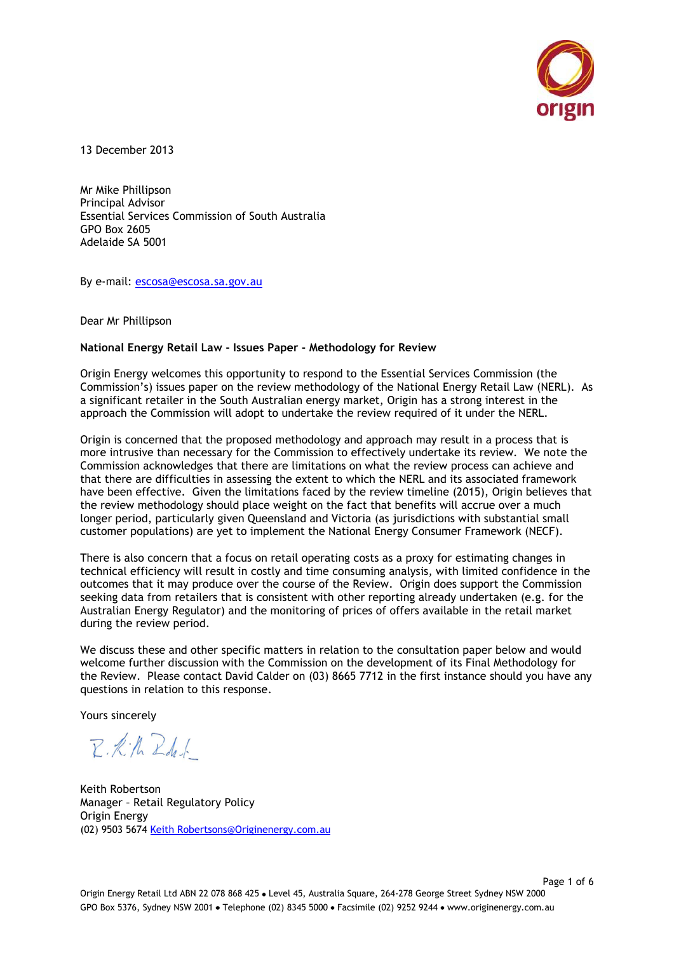

13 December 2013

Mr Mike Phillipson Principal Advisor Essential Services Commission of South Australia GPO Box 2605 Adelaide SA 5001

By e-mail: [escosa@escosa.sa.gov.au](mailto:escosa@escosa.sa.gov.au)

Dear Mr Phillipson

#### **National Energy Retail Law - Issues Paper - Methodology for Review**

Origin Energy welcomes this opportunity to respond to the Essential Services Commission (the Commission"s) issues paper on the review methodology of the National Energy Retail Law (NERL). As a significant retailer in the South Australian energy market, Origin has a strong interest in the approach the Commission will adopt to undertake the review required of it under the NERL.

Origin is concerned that the proposed methodology and approach may result in a process that is more intrusive than necessary for the Commission to effectively undertake its review. We note the Commission acknowledges that there are limitations on what the review process can achieve and that there are difficulties in assessing the extent to which the NERL and its associated framework have been effective. Given the limitations faced by the review timeline (2015), Origin believes that the review methodology should place weight on the fact that benefits will accrue over a much longer period, particularly given Queensland and Victoria (as jurisdictions with substantial small customer populations) are yet to implement the National Energy Consumer Framework (NECF).

There is also concern that a focus on retail operating costs as a proxy for estimating changes in technical efficiency will result in costly and time consuming analysis, with limited confidence in the outcomes that it may produce over the course of the Review. Origin does support the Commission seeking data from retailers that is consistent with other reporting already undertaken (e.g. for the Australian Energy Regulator) and the monitoring of prices of offers available in the retail market during the review period.

We discuss these and other specific matters in relation to the consultation paper below and would welcome further discussion with the Commission on the development of its Final Methodology for the Review. Please contact David Calder on (03) 8665 7712 in the first instance should you have any questions in relation to this response.

Yours sincerely

 $R \cdot k \cdot h$   $R$ del

Keith Robertson Manager – Retail Regulatory Policy Origin Energy (02) 9503 5674 [Keith Robertsons@Originenergy.com.au](mailto:David.Calder@Originenergy.com.au)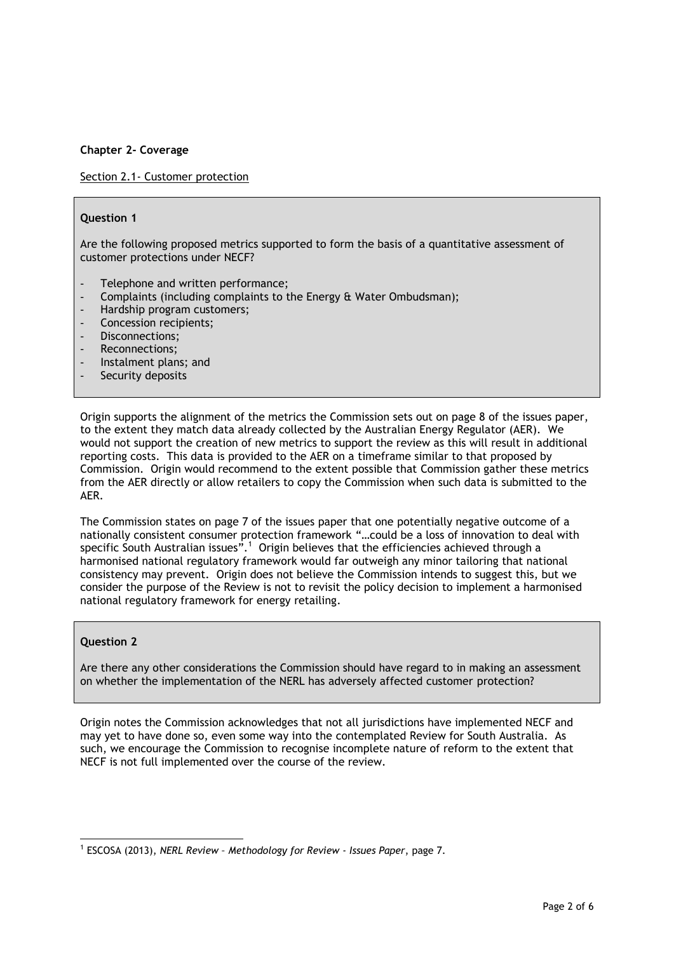# **Chapter 2- Coverage**

Section 2.1- Customer protection

#### **Question 1**

Are the following proposed metrics supported to form the basis of a quantitative assessment of customer protections under NECF?

- Telephone and written performance;
- Complaints (including complaints to the Energy & Water Ombudsman);
- Hardship program customers;
- Concession recipients;
- Disconnections;
- Reconnections;
- Instalment plans; and
- Security deposits

Origin supports the alignment of the metrics the Commission sets out on page 8 of the issues paper, to the extent they match data already collected by the Australian Energy Regulator (AER). We would not support the creation of new metrics to support the review as this will result in additional reporting costs. This data is provided to the AER on a timeframe similar to that proposed by Commission. Origin would recommend to the extent possible that Commission gather these metrics from the AER directly or allow retailers to copy the Commission when such data is submitted to the AER.

The Commission states on page 7 of the issues paper that one potentially negative outcome of a nationally consistent consumer protection framework "…could be a loss of innovation to deal with specific South Australian issues". $^1$  Origin believes that the efficiencies achieved through a harmonised national regulatory framework would far outweigh any minor tailoring that national consistency may prevent. Origin does not believe the Commission intends to suggest this, but we consider the purpose of the Review is not to revisit the policy decision to implement a harmonised national regulatory framework for energy retailing.

### **Question 2**

Are there any other considerations the Commission should have regard to in making an assessment on whether the implementation of the NERL has adversely affected customer protection?

Origin notes the Commission acknowledges that not all jurisdictions have implemented NECF and may yet to have done so, even some way into the contemplated Review for South Australia. As such, we encourage the Commission to recognise incomplete nature of reform to the extent that NECF is not full implemented over the course of the review.

l 1 ESCOSA (2013), *NERL Review – Methodology for Review - Issues Paper*, page 7.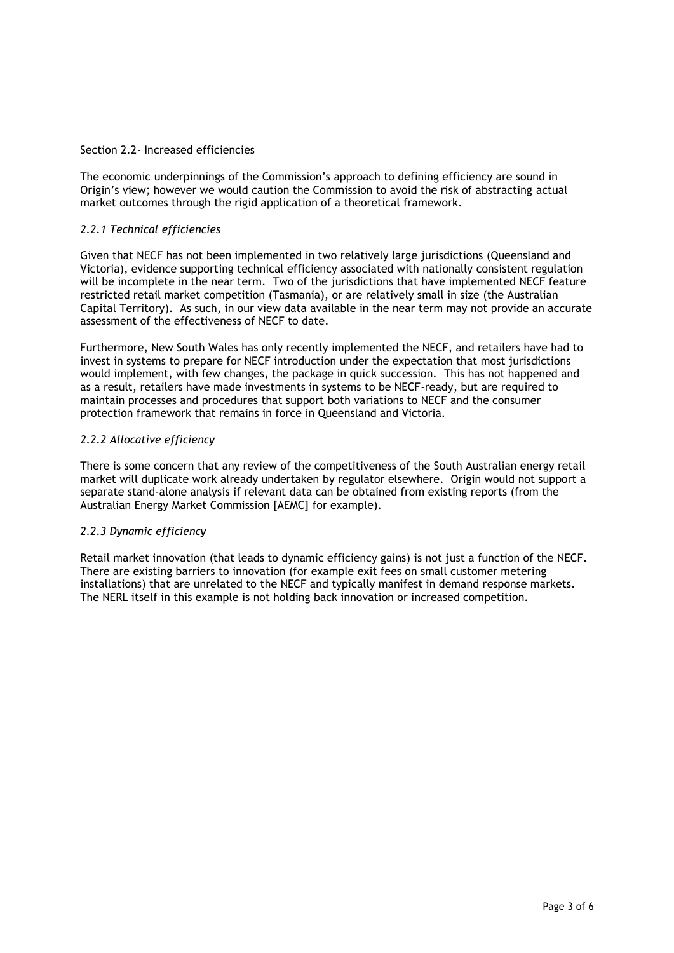### Section 2.2- Increased efficiencies

The economic underpinnings of the Commission"s approach to defining efficiency are sound in Origin"s view; however we would caution the Commission to avoid the risk of abstracting actual market outcomes through the rigid application of a theoretical framework.

# *2.2.1 Technical efficiencies*

Given that NECF has not been implemented in two relatively large jurisdictions (Queensland and Victoria), evidence supporting technical efficiency associated with nationally consistent regulation will be incomplete in the near term. Two of the jurisdictions that have implemented NECF feature restricted retail market competition (Tasmania), or are relatively small in size (the Australian Capital Territory). As such, in our view data available in the near term may not provide an accurate assessment of the effectiveness of NECF to date.

Furthermore, New South Wales has only recently implemented the NECF, and retailers have had to invest in systems to prepare for NECF introduction under the expectation that most jurisdictions would implement, with few changes, the package in quick succession. This has not happened and as a result, retailers have made investments in systems to be NECF-ready, but are required to maintain processes and procedures that support both variations to NECF and the consumer protection framework that remains in force in Queensland and Victoria.

# *2.2.2 Allocative efficiency*

There is some concern that any review of the competitiveness of the South Australian energy retail market will duplicate work already undertaken by regulator elsewhere. Origin would not support a separate stand-alone analysis if relevant data can be obtained from existing reports (from the Australian Energy Market Commission [AEMC] for example).

### *2.2.3 Dynamic efficiency*

Retail market innovation (that leads to dynamic efficiency gains) is not just a function of the NECF. There are existing barriers to innovation (for example exit fees on small customer metering installations) that are unrelated to the NECF and typically manifest in demand response markets. The NERL itself in this example is not holding back innovation or increased competition.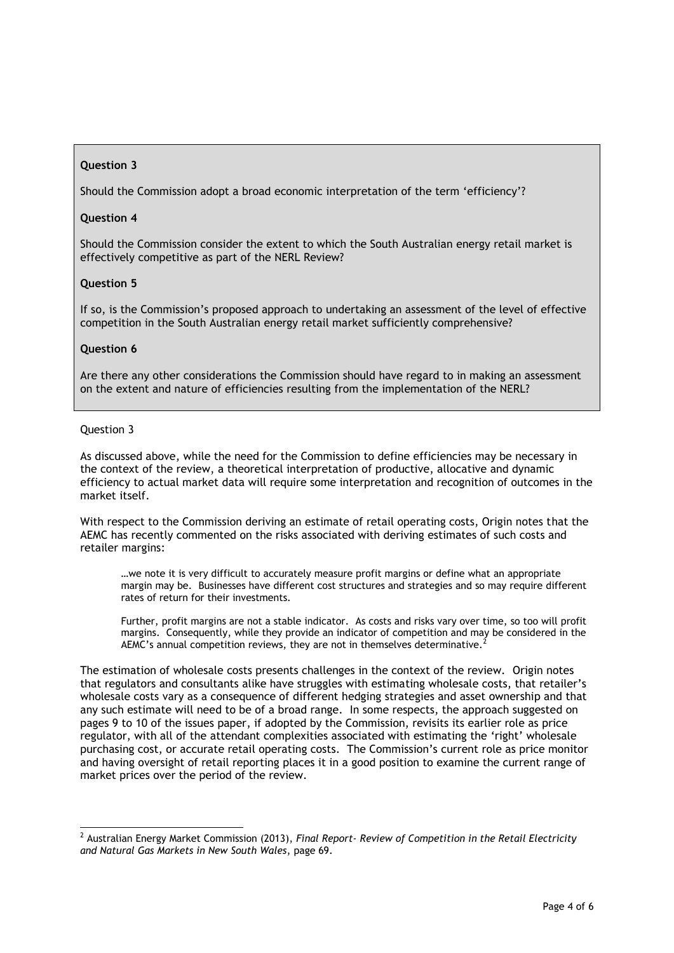# **Question 3**

Should the Commission adopt a broad economic interpretation of the term "efficiency"?

# **Question 4**

Should the Commission consider the extent to which the South Australian energy retail market is effectively competitive as part of the NERL Review?

#### **Question 5**

If so, is the Commission"s proposed approach to undertaking an assessment of the level of effective competition in the South Australian energy retail market sufficiently comprehensive?

#### **Question 6**

Are there any other considerations the Commission should have regard to in making an assessment on the extent and nature of efficiencies resulting from the implementation of the NERL?

### Question 3

 $\overline{a}$ 

As discussed above, while the need for the Commission to define efficiencies may be necessary in the context of the review, a theoretical interpretation of productive, allocative and dynamic efficiency to actual market data will require some interpretation and recognition of outcomes in the market itself.

With respect to the Commission deriving an estimate of retail operating costs, Origin notes that the AEMC has recently commented on the risks associated with deriving estimates of such costs and retailer margins:

…we note it is very difficult to accurately measure profit margins or define what an appropriate margin may be. Businesses have different cost structures and strategies and so may require different rates of return for their investments.

Further, profit margins are not a stable indicator. As costs and risks vary over time, so too will profit margins. Consequently, while they provide an indicator of competition and may be considered in the AEMC's annual competition reviews, they are not in themselves determinative.

The estimation of wholesale costs presents challenges in the context of the review. Origin notes that regulators and consultants alike have struggles with estimating wholesale costs, that retailer"s wholesale costs vary as a consequence of different hedging strategies and asset ownership and that any such estimate will need to be of a broad range. In some respects, the approach suggested on pages 9 to 10 of the issues paper, if adopted by the Commission, revisits its earlier role as price regulator, with all of the attendant complexities associated with estimating the 'right' wholesale purchasing cost, or accurate retail operating costs. The Commission"s current role as price monitor and having oversight of retail reporting places it in a good position to examine the current range of market prices over the period of the review.

<sup>2</sup> Australian Energy Market Commission (2013), *Final Report- Review of Competition in the Retail Electricity and Natural Gas Markets in New South Wales*, page 69.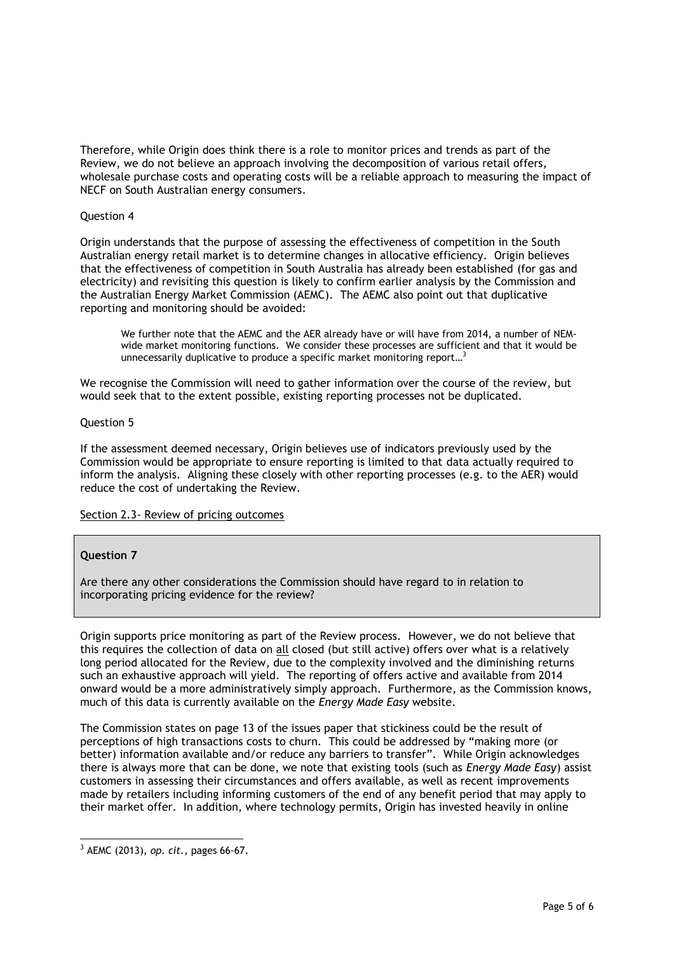Therefore, while Origin does think there is a role to monitor prices and trends as part of the Review, we do not believe an approach involving the decomposition of various retail offers, wholesale purchase costs and operating costs will be a reliable approach to measuring the impact of NECF on South Australian energy consumers.

#### Question 4

Origin understands that the purpose of assessing the effectiveness of competition in the South Australian energy retail market is to determine changes in allocative efficiency. Origin believes that the effectiveness of competition in South Australia has already been established (for gas and electricity) and revisiting this question is likely to confirm earlier analysis by the Commission and the Australian Energy Market Commission (AEMC). The AEMC also point out that duplicative reporting and monitoring should be avoided:

We further note that the AEMC and the AER already have or will have from 2014, a number of NEMwide market monitoring functions. We consider these processes are sufficient and that it would be unnecessarily duplicative to produce a specific market monitoring report...<sup>3</sup>

We recognise the Commission will need to gather information over the course of the review, but would seek that to the extent possible, existing reporting processes not be duplicated.

#### Question 5

If the assessment deemed necessary, Origin believes use of indicators previously used by the Commission would be appropriate to ensure reporting is limited to that data actually required to inform the analysis. Aligning these closely with other reporting processes (e.g. to the AER) would reduce the cost of undertaking the Review.

#### Section 2.3- Review of pricing outcomes

### **Question 7**

Are there any other considerations the Commission should have regard to in relation to incorporating pricing evidence for the review?

Origin supports price monitoring as part of the Review process. However, we do not believe that this requires the collection of data on all closed (but still active) offers over what is a relatively long period allocated for the Review, due to the complexity involved and the diminishing returns such an exhaustive approach will yield. The reporting of offers active and available from 2014 onward would be a more administratively simply approach. Furthermore, as the Commission knows, much of this data is currently available on the *Energy Made Easy* website.

The Commission states on page 13 of the issues paper that stickiness could be the result of perceptions of high transactions costs to churn. This could be addressed by "making more (or better) information available and/or reduce any barriers to transfer". While Origin acknowledges there is always more that can be done, we note that existing tools (such as *Energy Made Easy*) assist customers in assessing their circumstances and offers available, as well as recent improvements made by retailers including informing customers of the end of any benefit period that may apply to their market offer. In addition, where technology permits, Origin has invested heavily in online

l <sup>3</sup> AEMC (2013), *op. cit.*, pages 66-67.